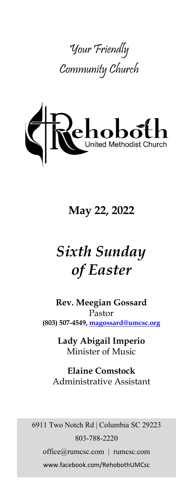



# **May 22, 2022**

# *Sixth Sunday of Easter*

**Rev. Meegian Gossard** Pastor **(803) 507-4549, magossard@umcsc.org**

> **Lady Abigail Imperio** Minister of Music

**Elaine Comstock** Administrative Assistant

6911 Two Notch Rd | Columbia SC 29223 803-788-2220 office@rumcsc.com | rumcsc.com www.facebook.com/RehobothUMCsc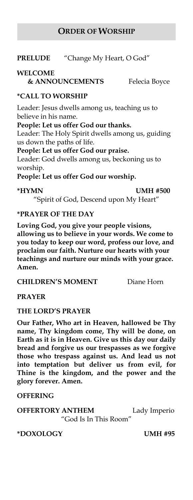#### **ORDER OF WORSHIP**

#### **PRELUDE** "Change My Heart, O God"

#### **WELCOME**

**& ANNOUNCEMENTS** Felecia Boyce

#### **\*CALL TO WORSHIP**

Leader: Jesus dwells among us, teaching us to believe in his name.

#### **People: Let us offer God our thanks.**

Leader: The Holy Spirit dwells among us, guiding us down the paths of life.

**People: Let us offer God our praise.**

Leader: God dwells among us, beckoning us to worship.

**People: Let us offer God our worship.**

**\*HYMN UMH #500**

"Spirit of God, Descend upon My Heart"

#### **\*PRAYER OF THE DAY**

**Loving God, you give your people visions, allowing us to believe in your words. We come to you today to keep our word, profess our love, and proclaim our faith. Nurture our hearts with your teachings and nurture our minds with your grace. Amen.**

**CHILDREN'S MOMENT** Diane Horn

**PRAYER**

#### **THE LORD'S PRAYER**

**Our Father, Who art in Heaven, hallowed be Thy name, Thy kingdom come, Thy will be done, on Earth as it is in Heaven. Give us this day our daily bread and forgive us our trespasses as we forgive those who trespass against us. And lead us not into temptation but deliver us from evil, for Thine is the kingdom, and the power and the glory forever. Amen.** 

#### **OFFERING**

**OFFERTORY ANTHEM** Lady Imperio "God Is In This Room"

#### **\*DOXOLOGY UMH #95**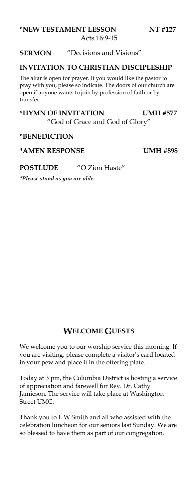#### **\*NEW TESTAMENT LESSON NT #127** Acts 16:9-15

#### **SERMON** "Decisions and Visions"

#### **INVITATION TO CHRISTIAN DISCIPLESHIP**

The altar is open for prayer. If you would like the pastor to pray with you, please so indicate. The doors of our church are open if anyone wants to join by profession of faith or by transfer.

#### **\*HYMN OF INVITATION UMH #577** "God of Grace and God of Glory"

#### **\*BENEDICTION**

#### **\*AMEN RESPONSE UMH #898**

#### **POSTLUDE** "O Zion Haste"

*\*Please stand as you are able.*

#### **WELCOME GUESTS**

We welcome you to our worship service this morning. If you are visiting, please complete a visitor's card located in your pew and place it in the offering plate.

Today at 3 pm, the Columbia District is hosting a service of appreciation and farewell for Rev. Dr. Cathy Jamieson. The service will take place at Washington Street UMC.

Thank you to L.W Smith and all who assisted with the celebration luncheon for our seniors last Sunday. We are so blessed to have them as part of our congregation.